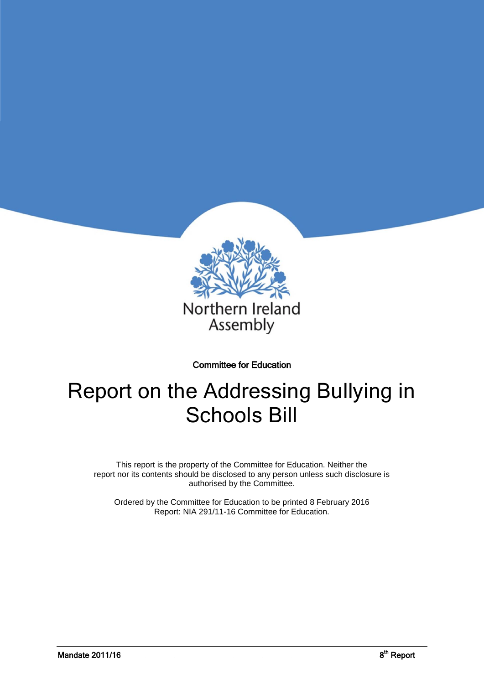

#### Committee for Education

# Report on the Addressing Bullying in Schools Bill

This report is the property of the Committee for Education. Neither the report nor its contents should be disclosed to any person unless such disclosure is authorised by the Committee.

Ordered by the Committee for Education to be printed 8 February 2016 Report: NIA 291/11-16 Committee for Education.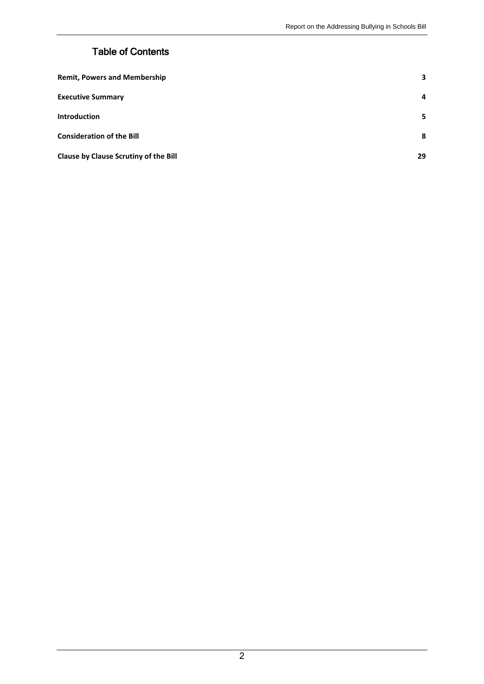## Table of Contents

| <b>Remit, Powers and Membership</b>          | 3              |
|----------------------------------------------|----------------|
| <b>Executive Summary</b>                     | $\overline{a}$ |
| <b>Introduction</b>                          | 5              |
| <b>Consideration of the Bill</b>             | 8              |
| <b>Clause by Clause Scrutiny of the Bill</b> | 29             |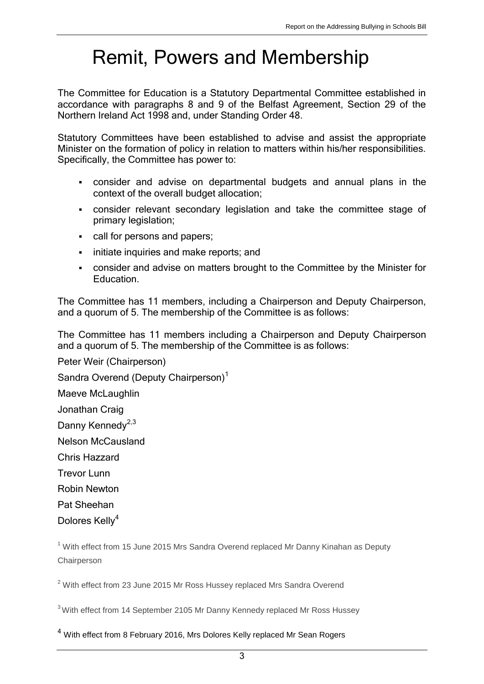## <span id="page-2-0"></span>Remit, Powers and Membership

The Committee for Education is a Statutory Departmental Committee established in accordance with paragraphs 8 and 9 of the Belfast Agreement, Section 29 of the Northern Ireland Act 1998 and, under Standing Order 48.

Statutory Committees have been established to advise and assist the appropriate Minister on the formation of policy in relation to matters within his/her responsibilities. Specifically, the Committee has power to:

- consider and advise on departmental budgets and annual plans in the context of the overall budget allocation;
- consider relevant secondary legislation and take the committee stage of primary legislation;
- call for persons and papers;
- **initiate inquiries and make reports; and**
- consider and advise on matters brought to the Committee by the Minister for Education.

The Committee has 11 members, including a Chairperson and Deputy Chairperson, and a quorum of 5. The membership of the Committee is as follows:

The Committee has 11 members including a Chairperson and Deputy Chairperson and a quorum of 5. The membership of the Committee is as follows:

[Peter Weir](http://www.niassembly.gov.uk/Your-MLAs/List-of-MLAs/Storey-Mervyn/) (Chairperson)

[Sandra Overend](http://www.niassembly.gov.uk/Your-MLAs/List-of-MLAs/Kinahan-Danny/) (Deputy Chairperson)<sup>1</sup>

Maeve McLaughlin

Jonathan Craig

Danny Kennedv<sup>2,3</sup>

Nelson McCausland

Chris Hazzard

Trevor Lunn

Robin Newton

Pat Sheehan

Dolores Kellv<sup>4</sup>

 $1$  With effect from 15 June 2015 Mrs Sandra Overend replaced Mr Danny Kinahan as Deputy **Chairperson** 

 $2$  With effect from 23 June 2015 Mr Ross Hussey replaced Mrs Sandra Overend

<sup>3</sup> With effect from 14 September 2105 Mr Danny Kennedy replaced Mr Ross Hussey

<sup>4</sup> With effect from 8 February 2016, Mrs Dolores Kelly replaced Mr Sean Rogers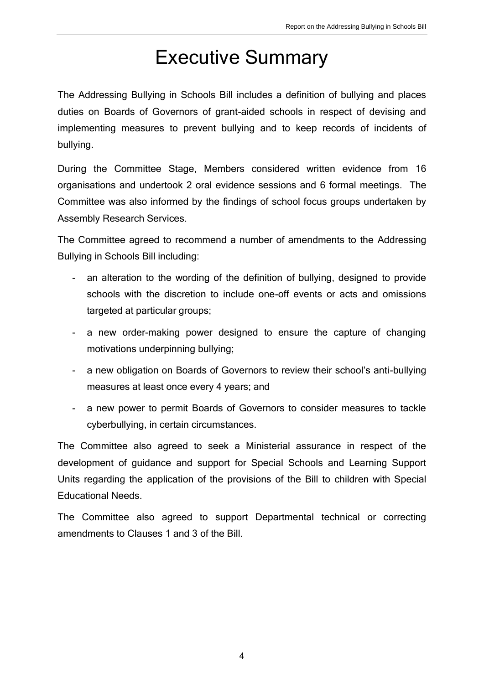## Executive Summary

The Addressing Bullying in Schools Bill includes a definition of bullying and places duties on Boards of Governors of grant-aided schools in respect of devising and implementing measures to prevent bullying and to keep records of incidents of bullying.

During the Committee Stage, Members considered written evidence from 16 organisations and undertook 2 oral evidence sessions and 6 formal meetings. The Committee was also informed by the findings of school focus groups undertaken by Assembly Research Services.

The Committee agreed to recommend a number of amendments to the Addressing Bullying in Schools Bill including:

- an alteration to the wording of the definition of bullying, designed to provide schools with the discretion to include one-off events or acts and omissions targeted at particular groups;
- a new order-making power designed to ensure the capture of changing motivations underpinning bullying;
- a new obligation on Boards of Governors to review their school's anti-bullying measures at least once every 4 years; and
- a new power to permit Boards of Governors to consider measures to tackle cyberbullying, in certain circumstances.

The Committee also agreed to seek a Ministerial assurance in respect of the development of guidance and support for Special Schools and Learning Support Units regarding the application of the provisions of the Bill to children with Special Educational Needs.

The Committee also agreed to support Departmental technical or correcting amendments to Clauses 1 and 3 of the Bill.

4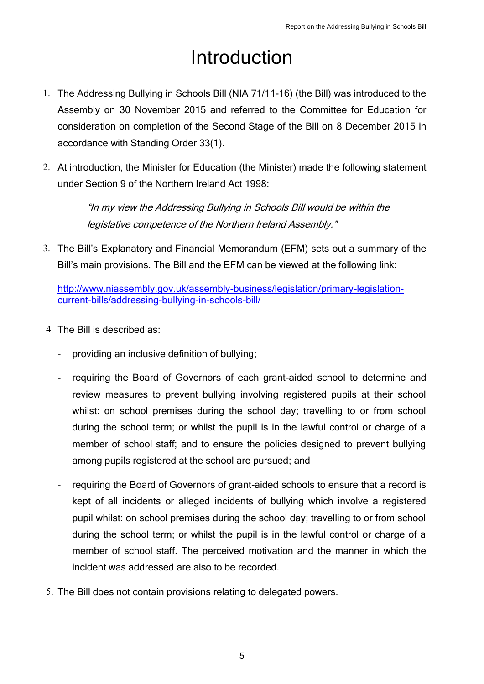# Introduction

- 1. The Addressing Bullying in Schools Bill (NIA 71/11-16) (the Bill) was introduced to the Assembly on 30 November 2015 and referred to the Committee for Education for consideration on completion of the Second Stage of the Bill on 8 December 2015 in accordance with Standing Order 33(1).
- 2. At introduction, the Minister for Education (the Minister) made the following statement under Section 9 of the Northern Ireland Act 1998:

"In my view the Addressing Bullying in Schools Bill would be within the legislative competence of the Northern Ireland Assembly."

3. The Bill's Explanatory and Financial Memorandum (EFM) sets out a summary of the Bill's main provisions. The Bill and the EFM can be viewed at the following link:

[http://www.niassembly.gov.uk/assembly-business/legislation/primary-legislation](http://www.niassembly.gov.uk/assembly-business/legislation/primary-legislation-current-bills/addressing-bullying-in-schools-bill/)[current-bills/addressing-bullying-in-schools-bill/](http://www.niassembly.gov.uk/assembly-business/legislation/primary-legislation-current-bills/addressing-bullying-in-schools-bill/)

- 4. The Bill is described as:
	- providing an inclusive definition of bullying;
	- requiring the Board of Governors of each grant-aided school to determine and review measures to prevent bullying involving registered pupils at their school whilst: on school premises during the school day; travelling to or from school during the school term; or whilst the pupil is in the lawful control or charge of a member of school staff; and to ensure the policies designed to prevent bullying among pupils registered at the school are pursued; and
	- requiring the Board of Governors of grant-aided schools to ensure that a record is kept of all incidents or alleged incidents of bullying which involve a registered pupil whilst: on school premises during the school day; travelling to or from school during the school term; or whilst the pupil is in the lawful control or charge of a member of school staff. The perceived motivation and the manner in which the incident was addressed are also to be recorded.
- 5. The Bill does not contain provisions relating to delegated powers.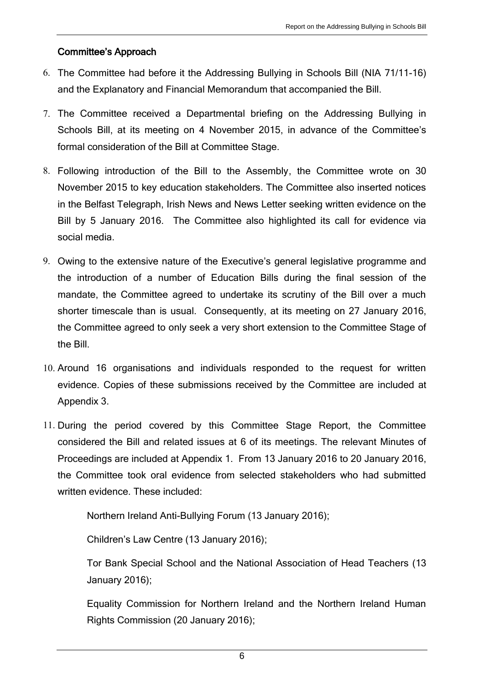## Committee's Approach

- 6. The Committee had before it the Addressing Bullying in Schools Bill (NIA 71/11-16) and the Explanatory and Financial Memorandum that accompanied the Bill.
- 7. The Committee received a Departmental briefing on the Addressing Bullying in Schools Bill, at its meeting on 4 November 2015, in advance of the Committee's formal consideration of the Bill at Committee Stage.
- 8. Following introduction of the Bill to the Assembly, the Committee wrote on 30 November 2015 to key education stakeholders. The Committee also inserted notices in the Belfast Telegraph, Irish News and News Letter seeking written evidence on the Bill by 5 January 2016. The Committee also highlighted its call for evidence via social media.
- 9. Owing to the extensive nature of the Executive's general legislative programme and the introduction of a number of Education Bills during the final session of the mandate, the Committee agreed to undertake its scrutiny of the Bill over a much shorter timescale than is usual. Consequently, at its meeting on 27 January 2016, the Committee agreed to only seek a very short extension to the Committee Stage of the Bill.
- 10. Around 16 organisations and individuals responded to the request for written evidence. Copies of these submissions received by the Committee are included at Appendix 3.
- 11. During the period covered by this Committee Stage Report, the Committee considered the Bill and related issues at 6 of its meetings. The relevant Minutes of Proceedings are included at Appendix 1. From 13 January 2016 to 20 January 2016, the Committee took oral evidence from selected stakeholders who had submitted written evidence. These included:

Northern Ireland Anti-Bullying Forum (13 January 2016);

Children's Law Centre (13 January 2016);

Tor Bank Special School and the National Association of Head Teachers (13 January 2016);

Equality Commission for Northern Ireland and the Northern Ireland Human Rights Commission (20 January 2016);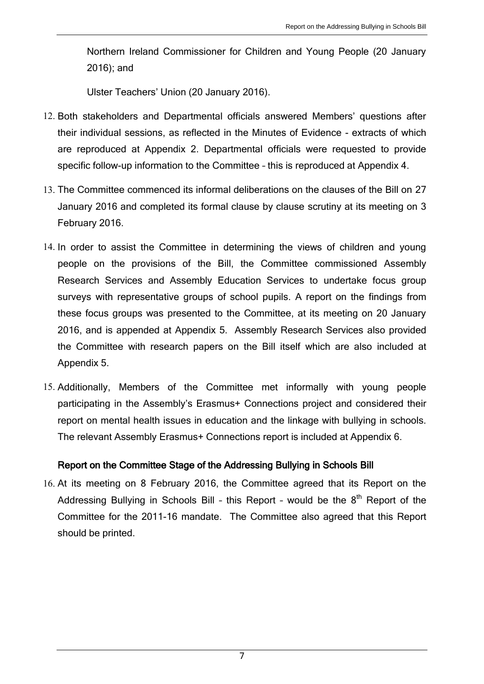Northern Ireland Commissioner for Children and Young People (20 January 2016); and

Ulster Teachers' Union (20 January 2016).

- 12. Both stakeholders and Departmental officials answered Members' questions after their individual sessions, as reflected in the Minutes of Evidence - extracts of which are reproduced at Appendix 2. Departmental officials were requested to provide specific follow-up information to the Committee – this is reproduced at Appendix 4.
- 13. The Committee commenced its informal deliberations on the clauses of the Bill on 27 January 2016 and completed its formal clause by clause scrutiny at its meeting on 3 February 2016.
- 14. In order to assist the Committee in determining the views of children and young people on the provisions of the Bill, the Committee commissioned Assembly Research Services and Assembly Education Services to undertake focus group surveys with representative groups of school pupils. A report on the findings from these focus groups was presented to the Committee, at its meeting on 20 January 2016, and is appended at Appendix 5. Assembly Research Services also provided the Committee with research papers on the Bill itself which are also included at Appendix 5.
- 15. Additionally, Members of the Committee met informally with young people participating in the Assembly's Erasmus+ Connections project and considered their report on mental health issues in education and the linkage with bullying in schools. The relevant Assembly Erasmus+ Connections report is included at Appendix 6.

#### Report on the Committee Stage of the Addressing Bullying in Schools Bill

16. At its meeting on 8 February 2016, the Committee agreed that its Report on the Addressing Bullying in Schools Bill - this Report - would be the 8<sup>th</sup> Report of the Committee for the 2011-16 mandate. The Committee also agreed that this Report should be printed.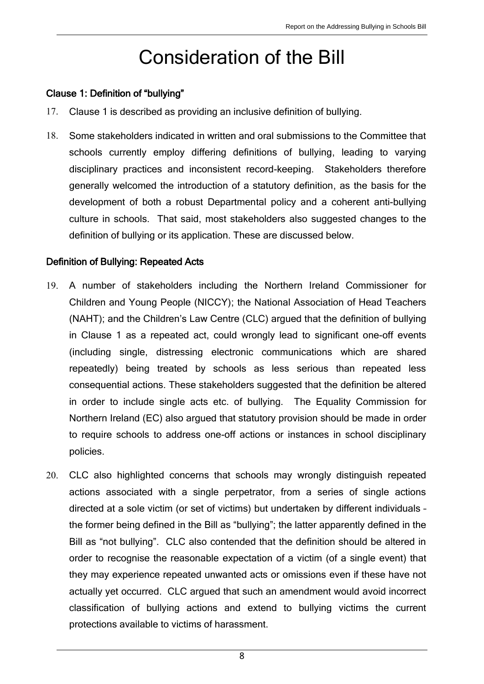## Consideration of the Bill

#### <span id="page-7-0"></span>Clause 1: Definition of "bullying"

- 17. Clause 1 is described as providing an inclusive definition of bullying.
- 18. Some stakeholders indicated in written and oral submissions to the Committee that schools currently employ differing definitions of bullying, leading to varying disciplinary practices and inconsistent record-keeping. Stakeholders therefore generally welcomed the introduction of a statutory definition, as the basis for the development of both a robust Departmental policy and a coherent anti-bullying culture in schools. That said, most stakeholders also suggested changes to the definition of bullying or its application. These are discussed below.

#### Definition of Bullying: Repeated Acts

- 19. A number of stakeholders including the Northern Ireland Commissioner for Children and Young People (NICCY); the National Association of Head Teachers (NAHT); and the Children's Law Centre (CLC) argued that the definition of bullying in Clause 1 as a repeated act, could wrongly lead to significant one-off events (including single, distressing electronic communications which are shared repeatedly) being treated by schools as less serious than repeated less consequential actions. These stakeholders suggested that the definition be altered in order to include single acts etc. of bullying. The Equality Commission for Northern Ireland (EC) also argued that statutory provision should be made in order to require schools to address one-off actions or instances in school disciplinary policies.
- 20. CLC also highlighted concerns that schools may wrongly distinguish repeated actions associated with a single perpetrator, from a series of single actions directed at a sole victim (or set of victims) but undertaken by different individuals – the former being defined in the Bill as "bullying"; the latter apparently defined in the Bill as "not bullying". CLC also contended that the definition should be altered in order to recognise the reasonable expectation of a victim (of a single event) that they may experience repeated unwanted acts or omissions even if these have not actually yet occurred. CLC argued that such an amendment would avoid incorrect classification of bullying actions and extend to bullying victims the current protections available to victims of harassment.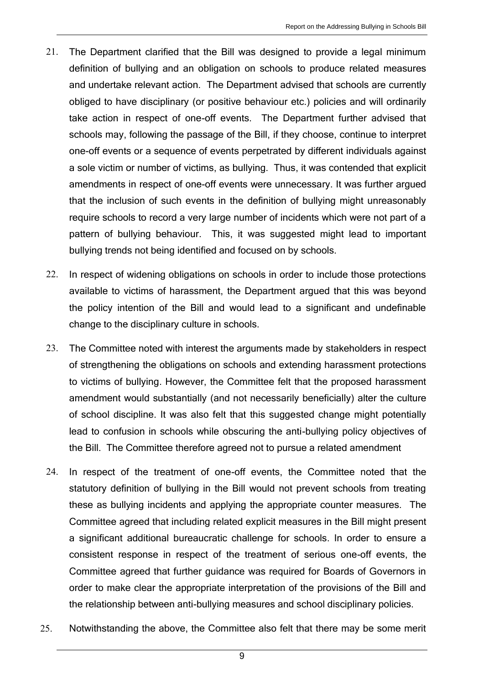- 21. The Department clarified that the Bill was designed to provide a legal minimum definition of bullying and an obligation on schools to produce related measures and undertake relevant action. The Department advised that schools are currently obliged to have disciplinary (or positive behaviour etc.) policies and will ordinarily take action in respect of one-off events. The Department further advised that schools may, following the passage of the Bill, if they choose, continue to interpret one-off events or a sequence of events perpetrated by different individuals against a sole victim or number of victims, as bullying. Thus, it was contended that explicit amendments in respect of one-off events were unnecessary. It was further argued that the inclusion of such events in the definition of bullying might unreasonably require schools to record a very large number of incidents which were not part of a pattern of bullying behaviour. This, it was suggested might lead to important bullying trends not being identified and focused on by schools.
- 22. In respect of widening obligations on schools in order to include those protections available to victims of harassment, the Department argued that this was beyond the policy intention of the Bill and would lead to a significant and undefinable change to the disciplinary culture in schools.
- 23. The Committee noted with interest the arguments made by stakeholders in respect of strengthening the obligations on schools and extending harassment protections to victims of bullying. However, the Committee felt that the proposed harassment amendment would substantially (and not necessarily beneficially) alter the culture of school discipline. It was also felt that this suggested change might potentially lead to confusion in schools while obscuring the anti-bullying policy objectives of the Bill. The Committee therefore agreed not to pursue a related amendment
- 24. In respect of the treatment of one-off events, the Committee noted that the statutory definition of bullying in the Bill would not prevent schools from treating these as bullying incidents and applying the appropriate counter measures. The Committee agreed that including related explicit measures in the Bill might present a significant additional bureaucratic challenge for schools. In order to ensure a consistent response in respect of the treatment of serious one-off events, the Committee agreed that further guidance was required for Boards of Governors in order to make clear the appropriate interpretation of the provisions of the Bill and the relationship between anti-bullying measures and school disciplinary policies.
- 25. Notwithstanding the above, the Committee also felt that there may be some merit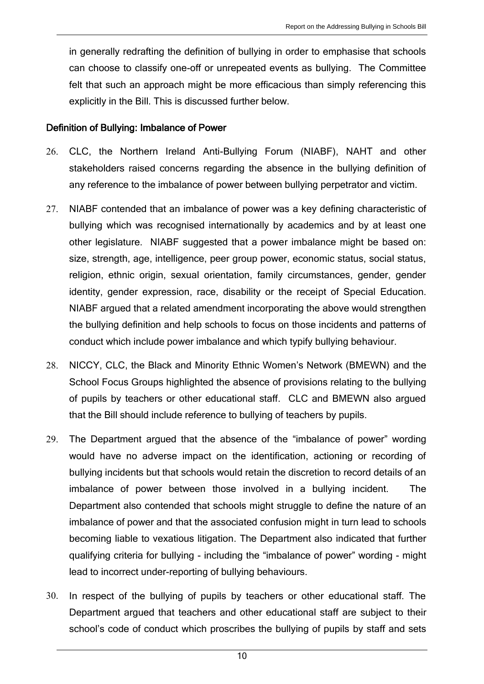in generally redrafting the definition of bullying in order to emphasise that schools can choose to classify one-off or unrepeated events as bullying. The Committee felt that such an approach might be more efficacious than simply referencing this explicitly in the Bill. This is discussed further below.

#### Definition of Bullying: Imbalance of Power

- 26. CLC, the Northern Ireland Anti-Bullying Forum (NIABF), NAHT and other stakeholders raised concerns regarding the absence in the bullying definition of any reference to the imbalance of power between bullying perpetrator and victim.
- 27. NIABF contended that an imbalance of power was a key defining characteristic of bullying which was recognised internationally by academics and by at least one other legislature. NIABF suggested that a power imbalance might be based on: size, strength, age, intelligence, peer group power, economic status, social status, religion, ethnic origin, sexual orientation, family circumstances, gender, gender identity, gender expression, race, disability or the receipt of Special Education. NIABF argued that a related amendment incorporating the above would strengthen the bullying definition and help schools to focus on those incidents and patterns of conduct which include power imbalance and which typify bullying behaviour.
- 28. NICCY, CLC, the Black and Minority Ethnic Women's Network (BMEWN) and the School Focus Groups highlighted the absence of provisions relating to the bullying of pupils by teachers or other educational staff. CLC and BMEWN also argued that the Bill should include reference to bullying of teachers by pupils.
- 29. The Department argued that the absence of the "imbalance of power" wording would have no adverse impact on the identification, actioning or recording of bullying incidents but that schools would retain the discretion to record details of an imbalance of power between those involved in a bullying incident. The Department also contended that schools might struggle to define the nature of an imbalance of power and that the associated confusion might in turn lead to schools becoming liable to vexatious litigation. The Department also indicated that further qualifying criteria for bullying - including the "imbalance of power" wording - might lead to incorrect under-reporting of bullying behaviours.
- 30. In respect of the bullying of pupils by teachers or other educational staff. The Department argued that teachers and other educational staff are subject to their school's code of conduct which proscribes the bullying of pupils by staff and sets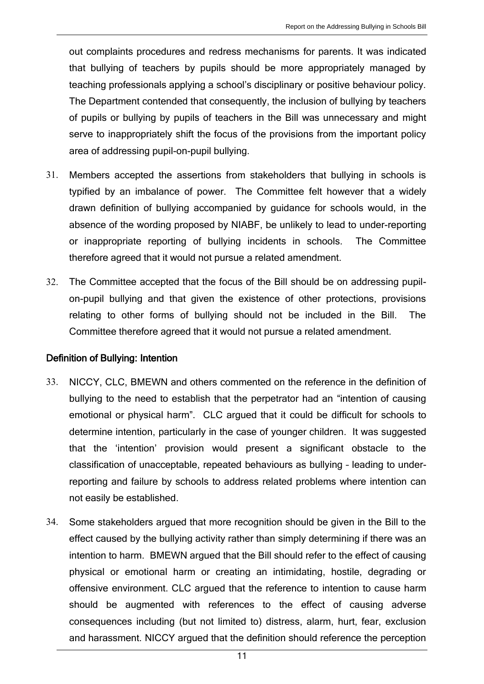out complaints procedures and redress mechanisms for parents. It was indicated that bullying of teachers by pupils should be more appropriately managed by teaching professionals applying a school's disciplinary or positive behaviour policy. The Department contended that consequently, the inclusion of bullying by teachers of pupils or bullying by pupils of teachers in the Bill was unnecessary and might serve to inappropriately shift the focus of the provisions from the important policy area of addressing pupil-on-pupil bullying.

- 31. Members accepted the assertions from stakeholders that bullying in schools is typified by an imbalance of power. The Committee felt however that a widely drawn definition of bullying accompanied by guidance for schools would, in the absence of the wording proposed by NIABF, be unlikely to lead to under-reporting or inappropriate reporting of bullying incidents in schools. The Committee therefore agreed that it would not pursue a related amendment.
- 32. The Committee accepted that the focus of the Bill should be on addressing pupilon-pupil bullying and that given the existence of other protections, provisions relating to other forms of bullying should not be included in the Bill. The Committee therefore agreed that it would not pursue a related amendment.

## Definition of Bullying: Intention

- 33. NICCY, CLC, BMEWN and others commented on the reference in the definition of bullying to the need to establish that the perpetrator had an "intention of causing emotional or physical harm". CLC argued that it could be difficult for schools to determine intention, particularly in the case of younger children. It was suggested that the 'intention' provision would present a significant obstacle to the classification of unacceptable, repeated behaviours as bullying – leading to underreporting and failure by schools to address related problems where intention can not easily be established.
- 34. Some stakeholders argued that more recognition should be given in the Bill to the effect caused by the bullying activity rather than simply determining if there was an intention to harm. BMEWN argued that the Bill should refer to the effect of causing physical or emotional harm or creating an intimidating, hostile, degrading or offensive environment. CLC argued that the reference to intention to cause harm should be augmented with references to the effect of causing adverse consequences including (but not limited to) distress, alarm, hurt, fear, exclusion and harassment. NICCY argued that the definition should reference the perception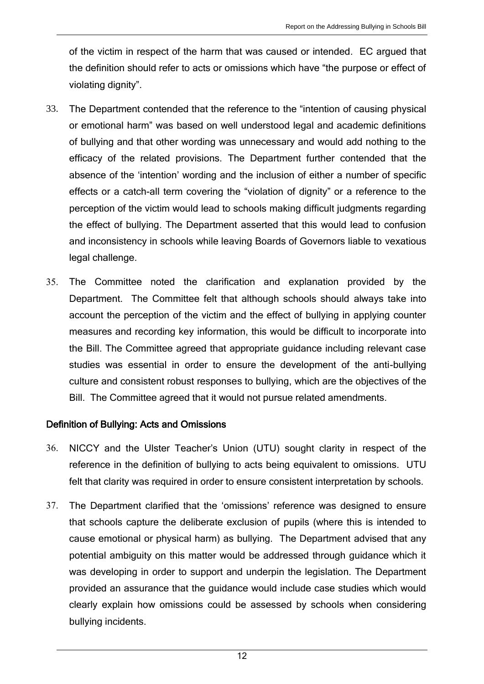of the victim in respect of the harm that was caused or intended. EC argued that the definition should refer to acts or omissions which have "the purpose or effect of violating dignity".

- 33. The Department contended that the reference to the "intention of causing physical or emotional harm" was based on well understood legal and academic definitions of bullying and that other wording was unnecessary and would add nothing to the efficacy of the related provisions. The Department further contended that the absence of the 'intention' wording and the inclusion of either a number of specific effects or a catch-all term covering the "violation of dignity" or a reference to the perception of the victim would lead to schools making difficult judgments regarding the effect of bullying. The Department asserted that this would lead to confusion and inconsistency in schools while leaving Boards of Governors liable to vexatious legal challenge.
- 35. The Committee noted the clarification and explanation provided by the Department. The Committee felt that although schools should always take into account the perception of the victim and the effect of bullying in applying counter measures and recording key information, this would be difficult to incorporate into the Bill. The Committee agreed that appropriate guidance including relevant case studies was essential in order to ensure the development of the anti-bullying culture and consistent robust responses to bullying, which are the objectives of the Bill. The Committee agreed that it would not pursue related amendments.

## Definition of Bullying: Acts and Omissions

- 36. NICCY and the Ulster Teacher's Union (UTU) sought clarity in respect of the reference in the definition of bullying to acts being equivalent to omissions. UTU felt that clarity was required in order to ensure consistent interpretation by schools.
- 37. The Department clarified that the 'omissions' reference was designed to ensure that schools capture the deliberate exclusion of pupils (where this is intended to cause emotional or physical harm) as bullying. The Department advised that any potential ambiguity on this matter would be addressed through guidance which it was developing in order to support and underpin the legislation. The Department provided an assurance that the guidance would include case studies which would clearly explain how omissions could be assessed by schools when considering bullying incidents.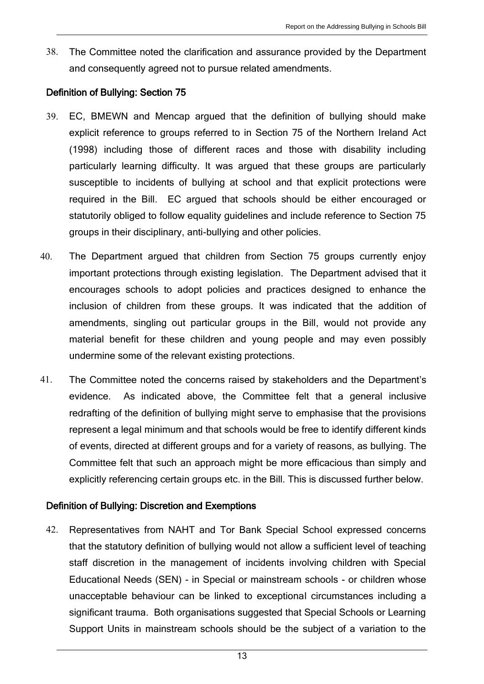38. The Committee noted the clarification and assurance provided by the Department and consequently agreed not to pursue related amendments.

#### Definition of Bullying: Section 75

- 39. EC, BMEWN and Mencap argued that the definition of bullying should make explicit reference to groups referred to in Section 75 of the Northern Ireland Act (1998) including those of different races and those with disability including particularly learning difficulty. It was argued that these groups are particularly susceptible to incidents of bullying at school and that explicit protections were required in the Bill. EC argued that schools should be either encouraged or statutorily obliged to follow equality guidelines and include reference to Section 75 groups in their disciplinary, anti-bullying and other policies.
- 40. The Department argued that children from Section 75 groups currently enjoy important protections through existing legislation. The Department advised that it encourages schools to adopt policies and practices designed to enhance the inclusion of children from these groups. It was indicated that the addition of amendments, singling out particular groups in the Bill, would not provide any material benefit for these children and young people and may even possibly undermine some of the relevant existing protections.
- 41. The Committee noted the concerns raised by stakeholders and the Department's evidence. As indicated above, the Committee felt that a general inclusive redrafting of the definition of bullying might serve to emphasise that the provisions represent a legal minimum and that schools would be free to identify different kinds of events, directed at different groups and for a variety of reasons, as bullying. The Committee felt that such an approach might be more efficacious than simply and explicitly referencing certain groups etc. in the Bill. This is discussed further below.

## Definition of Bullying: Discretion and Exemptions

42. Representatives from NAHT and Tor Bank Special School expressed concerns that the statutory definition of bullying would not allow a sufficient level of teaching staff discretion in the management of incidents involving children with Special Educational Needs (SEN) - in Special or mainstream schools - or children whose unacceptable behaviour can be linked to exceptional circumstances including a significant trauma. Both organisations suggested that Special Schools or Learning Support Units in mainstream schools should be the subject of a variation to the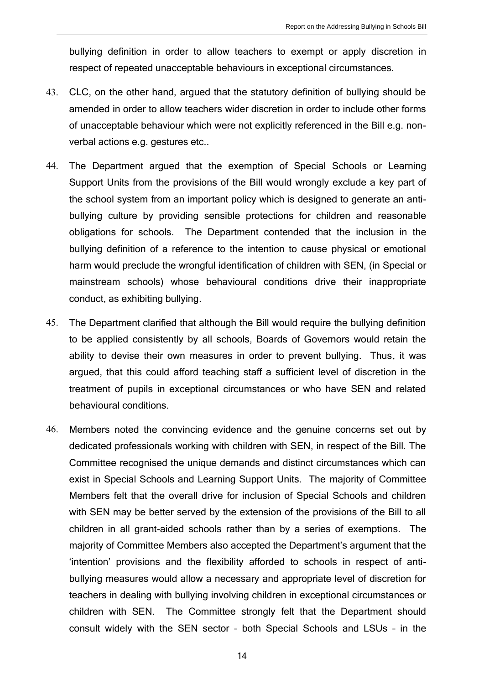bullying definition in order to allow teachers to exempt or apply discretion in respect of repeated unacceptable behaviours in exceptional circumstances.

- 43. CLC, on the other hand, argued that the statutory definition of bullying should be amended in order to allow teachers wider discretion in order to include other forms of unacceptable behaviour which were not explicitly referenced in the Bill e.g. nonverbal actions e.g. gestures etc..
- 44. The Department argued that the exemption of Special Schools or Learning Support Units from the provisions of the Bill would wrongly exclude a key part of the school system from an important policy which is designed to generate an antibullying culture by providing sensible protections for children and reasonable obligations for schools. The Department contended that the inclusion in the bullying definition of a reference to the intention to cause physical or emotional harm would preclude the wrongful identification of children with SEN, (in Special or mainstream schools) whose behavioural conditions drive their inappropriate conduct, as exhibiting bullying.
- 45. The Department clarified that although the Bill would require the bullying definition to be applied consistently by all schools, Boards of Governors would retain the ability to devise their own measures in order to prevent bullying. Thus, it was argued, that this could afford teaching staff a sufficient level of discretion in the treatment of pupils in exceptional circumstances or who have SEN and related behavioural conditions.
- 46. Members noted the convincing evidence and the genuine concerns set out by dedicated professionals working with children with SEN, in respect of the Bill. The Committee recognised the unique demands and distinct circumstances which can exist in Special Schools and Learning Support Units. The majority of Committee Members felt that the overall drive for inclusion of Special Schools and children with SEN may be better served by the extension of the provisions of the Bill to all children in all grant-aided schools rather than by a series of exemptions. The majority of Committee Members also accepted the Department's argument that the 'intention' provisions and the flexibility afforded to schools in respect of antibullying measures would allow a necessary and appropriate level of discretion for teachers in dealing with bullying involving children in exceptional circumstances or children with SEN. The Committee strongly felt that the Department should consult widely with the SEN sector – both Special Schools and LSUs – in the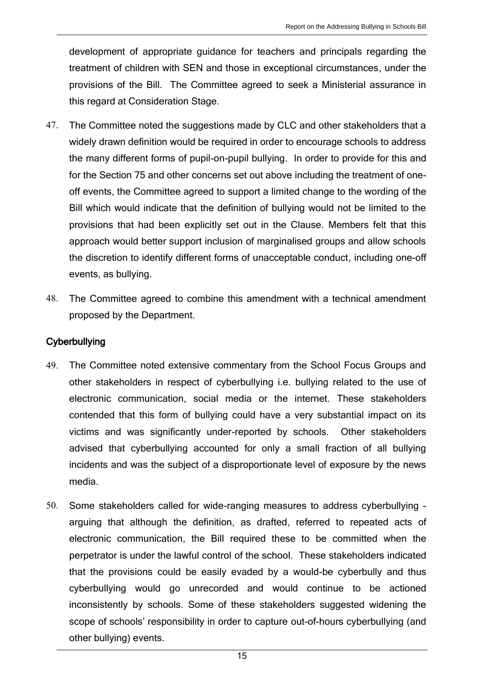development of appropriate guidance for teachers and principals regarding the treatment of children with SEN and those in exceptional circumstances, under the provisions of the Bill. The Committee agreed to seek a Ministerial assurance in this regard at Consideration Stage.

- 47. The Committee noted the suggestions made by CLC and other stakeholders that a widely drawn definition would be required in order to encourage schools to address the many different forms of pupil-on-pupil bullying. In order to provide for this and for the Section 75 and other concerns set out above including the treatment of oneoff events, the Committee agreed to support a limited change to the wording of the Bill which would indicate that the definition of bullying would not be limited to the provisions that had been explicitly set out in the Clause. Members felt that this approach would better support inclusion of marginalised groups and allow schools the discretion to identify different forms of unacceptable conduct, including one-off events, as bullying.
- 48. The Committee agreed to combine this amendment with a technical amendment proposed by the Department.

## **Cyberbullying**

- 49. The Committee noted extensive commentary from the School Focus Groups and other stakeholders in respect of cyberbullying i.e. bullying related to the use of electronic communication, social media or the internet. These stakeholders contended that this form of bullying could have a very substantial impact on its victims and was significantly under-reported by schools. Other stakeholders advised that cyberbullying accounted for only a small fraction of all bullying incidents and was the subject of a disproportionate level of exposure by the news media.
- 50. Some stakeholders called for wide-ranging measures to address cyberbullying arguing that although the definition, as drafted, referred to repeated acts of electronic communication, the Bill required these to be committed when the perpetrator is under the lawful control of the school. These stakeholders indicated that the provisions could be easily evaded by a would-be cyberbully and thus cyberbullying would go unrecorded and would continue to be actioned inconsistently by schools. Some of these stakeholders suggested widening the scope of schools' responsibility in order to capture out-of-hours cyberbullying (and other bullying) events.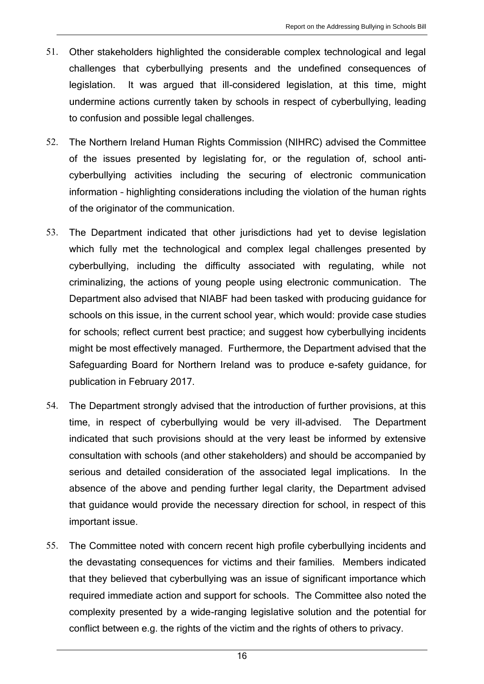- 51. Other stakeholders highlighted the considerable complex technological and legal challenges that cyberbullying presents and the undefined consequences of legislation. It was argued that ill-considered legislation, at this time, might undermine actions currently taken by schools in respect of cyberbullying, leading to confusion and possible legal challenges.
- 52. The Northern Ireland Human Rights Commission (NIHRC) advised the Committee of the issues presented by legislating for, or the regulation of, school anticyberbullying activities including the securing of electronic communication information – highlighting considerations including the violation of the human rights of the originator of the communication.
- 53. The Department indicated that other jurisdictions had yet to devise legislation which fully met the technological and complex legal challenges presented by cyberbullying, including the difficulty associated with regulating, while not criminalizing, the actions of young people using electronic communication. The Department also advised that NIABF had been tasked with producing guidance for schools on this issue, in the current school year, which would: provide case studies for schools; reflect current best practice; and suggest how cyberbullying incidents might be most effectively managed. Furthermore, the Department advised that the Safeguarding Board for Northern Ireland was to produce e-safety guidance, for publication in February 2017.
- 54. The Department strongly advised that the introduction of further provisions, at this time, in respect of cyberbullying would be very ill-advised. The Department indicated that such provisions should at the very least be informed by extensive consultation with schools (and other stakeholders) and should be accompanied by serious and detailed consideration of the associated legal implications. In the absence of the above and pending further legal clarity, the Department advised that guidance would provide the necessary direction for school, in respect of this important issue.
- 55. The Committee noted with concern recent high profile cyberbullying incidents and the devastating consequences for victims and their families. Members indicated that they believed that cyberbullying was an issue of significant importance which required immediate action and support for schools. The Committee also noted the complexity presented by a wide-ranging legislative solution and the potential for conflict between e.g. the rights of the victim and the rights of others to privacy.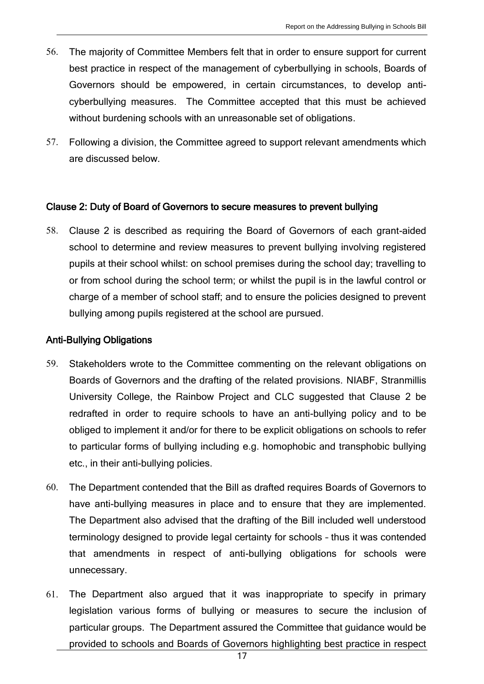- 56. The majority of Committee Members felt that in order to ensure support for current best practice in respect of the management of cyberbullying in schools, Boards of Governors should be empowered, in certain circumstances, to develop anticyberbullying measures. The Committee accepted that this must be achieved without burdening schools with an unreasonable set of obligations.
- 57. Following a division, the Committee agreed to support relevant amendments which are discussed below.

#### Clause 2: Duty of Board of Governors to secure measures to prevent bullying

58. Clause 2 is described as requiring the Board of Governors of each grant-aided school to determine and review measures to prevent bullying involving registered pupils at their school whilst: on school premises during the school day; travelling to or from school during the school term; or whilst the pupil is in the lawful control or charge of a member of school staff; and to ensure the policies designed to prevent bullying among pupils registered at the school are pursued.

## Anti-Bullying Obligations

- 59. Stakeholders wrote to the Committee commenting on the relevant obligations on Boards of Governors and the drafting of the related provisions. NIABF, Stranmillis University College, the Rainbow Project and CLC suggested that Clause 2 be redrafted in order to require schools to have an anti-bullying policy and to be obliged to implement it and/or for there to be explicit obligations on schools to refer to particular forms of bullying including e.g. homophobic and transphobic bullying etc., in their anti-bullying policies.
- 60. The Department contended that the Bill as drafted requires Boards of Governors to have anti-bullying measures in place and to ensure that they are implemented. The Department also advised that the drafting of the Bill included well understood terminology designed to provide legal certainty for schools – thus it was contended that amendments in respect of anti-bullying obligations for schools were unnecessary.
- 61. The Department also argued that it was inappropriate to specify in primary legislation various forms of bullying or measures to secure the inclusion of particular groups. The Department assured the Committee that guidance would be provided to schools and Boards of Governors highlighting best practice in respect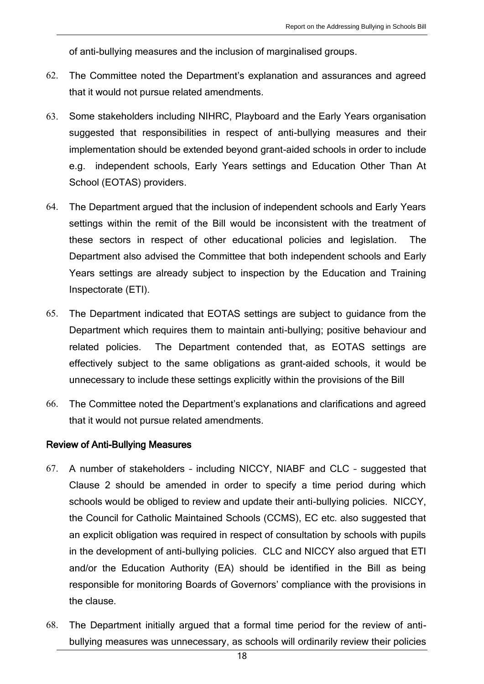of anti-bullying measures and the inclusion of marginalised groups.

- 62. The Committee noted the Department's explanation and assurances and agreed that it would not pursue related amendments.
- 63. Some stakeholders including NIHRC, Playboard and the Early Years organisation suggested that responsibilities in respect of anti-bullying measures and their implementation should be extended beyond grant-aided schools in order to include e.g. independent schools, Early Years settings and Education Other Than At School (EOTAS) providers.
- 64. The Department argued that the inclusion of independent schools and Early Years settings within the remit of the Bill would be inconsistent with the treatment of these sectors in respect of other educational policies and legislation. The Department also advised the Committee that both independent schools and Early Years settings are already subject to inspection by the Education and Training Inspectorate (ETI).
- 65. The Department indicated that EOTAS settings are subject to guidance from the Department which requires them to maintain anti-bullying; positive behaviour and related policies. The Department contended that, as EOTAS settings are effectively subject to the same obligations as grant-aided schools, it would be unnecessary to include these settings explicitly within the provisions of the Bill
- 66. The Committee noted the Department's explanations and clarifications and agreed that it would not pursue related amendments.

#### Review of Anti-Bullying Measures

- 67. A number of stakeholders including NICCY, NIABF and CLC suggested that Clause 2 should be amended in order to specify a time period during which schools would be obliged to review and update their anti-bullying policies. NICCY, the Council for Catholic Maintained Schools (CCMS), EC etc. also suggested that an explicit obligation was required in respect of consultation by schools with pupils in the development of anti-bullying policies. CLC and NICCY also argued that ETI and/or the Education Authority (EA) should be identified in the Bill as being responsible for monitoring Boards of Governors' compliance with the provisions in the clause.
- 68. The Department initially argued that a formal time period for the review of antibullying measures was unnecessary, as schools will ordinarily review their policies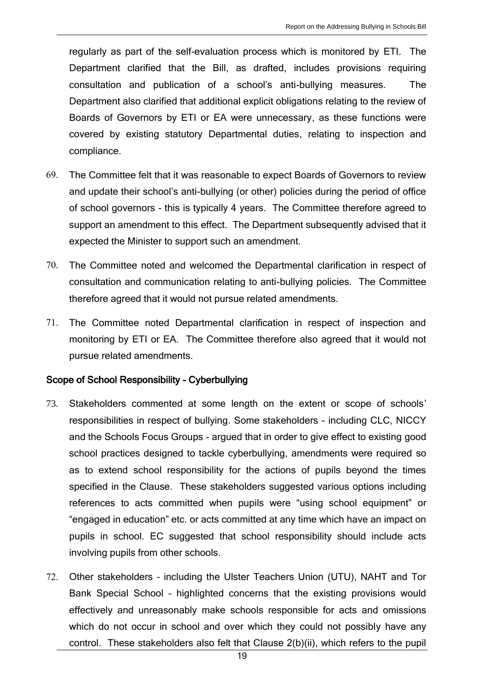regularly as part of the self-evaluation process which is monitored by ETI. The Department clarified that the Bill, as drafted, includes provisions requiring consultation and publication of a school's anti-bullying measures. The Department also clarified that additional explicit obligations relating to the review of Boards of Governors by ETI or EA were unnecessary, as these functions were covered by existing statutory Departmental duties, relating to inspection and compliance.

- 69. The Committee felt that it was reasonable to expect Boards of Governors to review and update their school's anti-bullying (or other) policies during the period of office of school governors - this is typically 4 years. The Committee therefore agreed to support an amendment to this effect. The Department subsequently advised that it expected the Minister to support such an amendment.
- 70. The Committee noted and welcomed the Departmental clarification in respect of consultation and communication relating to anti-bullying policies. The Committee therefore agreed that it would not pursue related amendments.
- 71. The Committee noted Departmental clarification in respect of inspection and monitoring by ETI or EA. The Committee therefore also agreed that it would not pursue related amendments.

#### Scope of School Responsibility - Cyberbullying

- 73. Stakeholders commented at some length on the extent or scope of schools' responsibilities in respect of bullying. Some stakeholders - including CLC, NICCY and the Schools Focus Groups - argued that in order to give effect to existing good school practices designed to tackle cyberbullying, amendments were required so as to extend school responsibility for the actions of pupils beyond the times specified in the Clause. These stakeholders suggested various options including references to acts committed when pupils were "using school equipment" or "engaged in education" etc. or acts committed at any time which have an impact on pupils in school. EC suggested that school responsibility should include acts involving pupils from other schools.
- 72. Other stakeholders including the Ulster Teachers Union (UTU), NAHT and Tor Bank Special School – highlighted concerns that the existing provisions would effectively and unreasonably make schools responsible for acts and omissions which do not occur in school and over which they could not possibly have any control. These stakeholders also felt that Clause 2(b)(ii), which refers to the pupil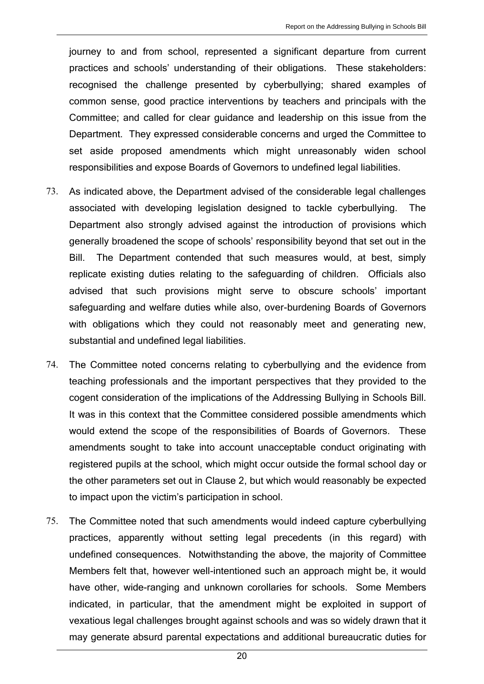journey to and from school, represented a significant departure from current practices and schools' understanding of their obligations. These stakeholders: recognised the challenge presented by cyberbullying; shared examples of common sense, good practice interventions by teachers and principals with the Committee; and called for clear guidance and leadership on this issue from the Department. They expressed considerable concerns and urged the Committee to set aside proposed amendments which might unreasonably widen school responsibilities and expose Boards of Governors to undefined legal liabilities.

- 73. As indicated above, the Department advised of the considerable legal challenges associated with developing legislation designed to tackle cyberbullying. The Department also strongly advised against the introduction of provisions which generally broadened the scope of schools' responsibility beyond that set out in the Bill. The Department contended that such measures would, at best, simply replicate existing duties relating to the safeguarding of children. Officials also advised that such provisions might serve to obscure schools' important safeguarding and welfare duties while also, over-burdening Boards of Governors with obligations which they could not reasonably meet and generating new, substantial and undefined legal liabilities.
- 74. The Committee noted concerns relating to cyberbullying and the evidence from teaching professionals and the important perspectives that they provided to the cogent consideration of the implications of the Addressing Bullying in Schools Bill. It was in this context that the Committee considered possible amendments which would extend the scope of the responsibilities of Boards of Governors. These amendments sought to take into account unacceptable conduct originating with registered pupils at the school, which might occur outside the formal school day or the other parameters set out in Clause 2, but which would reasonably be expected to impact upon the victim's participation in school.
- 75. The Committee noted that such amendments would indeed capture cyberbullying practices, apparently without setting legal precedents (in this regard) with undefined consequences. Notwithstanding the above, the majority of Committee Members felt that, however well-intentioned such an approach might be, it would have other, wide-ranging and unknown corollaries for schools. Some Members indicated, in particular, that the amendment might be exploited in support of vexatious legal challenges brought against schools and was so widely drawn that it may generate absurd parental expectations and additional bureaucratic duties for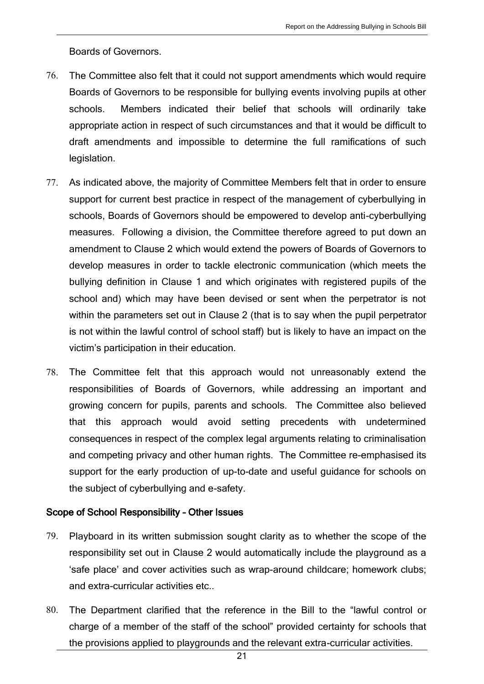Boards of Governors.

- 76. The Committee also felt that it could not support amendments which would require Boards of Governors to be responsible for bullying events involving pupils at other schools. Members indicated their belief that schools will ordinarily take appropriate action in respect of such circumstances and that it would be difficult to draft amendments and impossible to determine the full ramifications of such legislation.
- 77. As indicated above, the majority of Committee Members felt that in order to ensure support for current best practice in respect of the management of cyberbullying in schools, Boards of Governors should be empowered to develop anti-cyberbullying measures. Following a division, the Committee therefore agreed to put down an amendment to Clause 2 which would extend the powers of Boards of Governors to develop measures in order to tackle electronic communication (which meets the bullying definition in Clause 1 and which originates with registered pupils of the school and) which may have been devised or sent when the perpetrator is not within the parameters set out in Clause 2 (that is to say when the pupil perpetrator is not within the lawful control of school staff) but is likely to have an impact on the victim's participation in their education.
- 78. The Committee felt that this approach would not unreasonably extend the responsibilities of Boards of Governors, while addressing an important and growing concern for pupils, parents and schools. The Committee also believed that this approach would avoid setting precedents with undetermined consequences in respect of the complex legal arguments relating to criminalisation and competing privacy and other human rights. The Committee re-emphasised its support for the early production of up-to-date and useful guidance for schools on the subject of cyberbullying and e-safety.

## Scope of School Responsibility – Other Issues

- 79. Playboard in its written submission sought clarity as to whether the scope of the responsibility set out in Clause 2 would automatically include the playground as a 'safe place' and cover activities such as wrap-around childcare; homework clubs; and extra-curricular activities etc..
- 80. The Department clarified that the reference in the Bill to the "lawful control or charge of a member of the staff of the school" provided certainty for schools that the provisions applied to playgrounds and the relevant extra-curricular activities.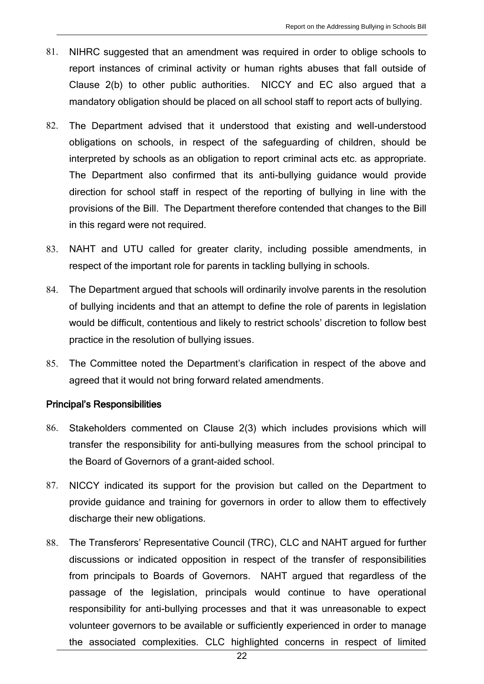- 81. NIHRC suggested that an amendment was required in order to oblige schools to report instances of criminal activity or human rights abuses that fall outside of Clause 2(b) to other public authorities. NICCY and EC also argued that a mandatory obligation should be placed on all school staff to report acts of bullying.
- 82. The Department advised that it understood that existing and well-understood obligations on schools, in respect of the safeguarding of children, should be interpreted by schools as an obligation to report criminal acts etc. as appropriate. The Department also confirmed that its anti-bullying guidance would provide direction for school staff in respect of the reporting of bullying in line with the provisions of the Bill. The Department therefore contended that changes to the Bill in this regard were not required.
- 83. NAHT and UTU called for greater clarity, including possible amendments, in respect of the important role for parents in tackling bullying in schools.
- 84. The Department argued that schools will ordinarily involve parents in the resolution of bullying incidents and that an attempt to define the role of parents in legislation would be difficult, contentious and likely to restrict schools' discretion to follow best practice in the resolution of bullying issues.
- 85. The Committee noted the Department's clarification in respect of the above and agreed that it would not bring forward related amendments.

## Principal's Responsibilities

- 86. Stakeholders commented on Clause 2(3) which includes provisions which will transfer the responsibility for anti-bullying measures from the school principal to the Board of Governors of a grant-aided school.
- 87. NICCY indicated its support for the provision but called on the Department to provide guidance and training for governors in order to allow them to effectively discharge their new obligations.
- 88. The Transferors' Representative Council (TRC), CLC and NAHT argued for further discussions or indicated opposition in respect of the transfer of responsibilities from principals to Boards of Governors. NAHT argued that regardless of the passage of the legislation, principals would continue to have operational responsibility for anti-bullying processes and that it was unreasonable to expect volunteer governors to be available or sufficiently experienced in order to manage the associated complexities. CLC highlighted concerns in respect of limited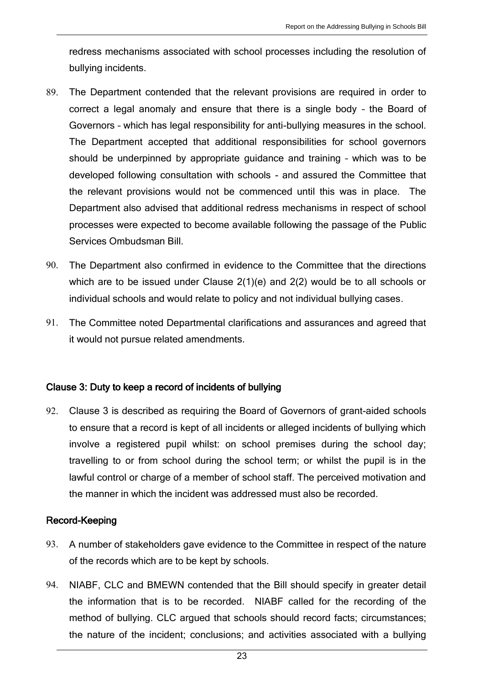redress mechanisms associated with school processes including the resolution of bullying incidents.

- 89. The Department contended that the relevant provisions are required in order to correct a legal anomaly and ensure that there is a single body – the Board of Governors – which has legal responsibility for anti-bullying measures in the school. The Department accepted that additional responsibilities for school governors should be underpinned by appropriate guidance and training – which was to be developed following consultation with schools - and assured the Committee that the relevant provisions would not be commenced until this was in place. The Department also advised that additional redress mechanisms in respect of school processes were expected to become available following the passage of the Public Services Ombudsman Bill.
- 90. The Department also confirmed in evidence to the Committee that the directions which are to be issued under Clause 2(1)(e) and 2(2) would be to all schools or individual schools and would relate to policy and not individual bullying cases.
- 91. The Committee noted Departmental clarifications and assurances and agreed that it would not pursue related amendments.

## Clause 3: Duty to keep a record of incidents of bullying

92. Clause 3 is described as requiring the Board of Governors of grant-aided schools to ensure that a record is kept of all incidents or alleged incidents of bullying which involve a registered pupil whilst: on school premises during the school day; travelling to or from school during the school term; or whilst the pupil is in the lawful control or charge of a member of school staff. The perceived motivation and the manner in which the incident was addressed must also be recorded.

## Record-Keeping

- 93. A number of stakeholders gave evidence to the Committee in respect of the nature of the records which are to be kept by schools.
- 94. NIABF, CLC and BMEWN contended that the Bill should specify in greater detail the information that is to be recorded. NIABF called for the recording of the method of bullying. CLC argued that schools should record facts; circumstances; the nature of the incident; conclusions; and activities associated with a bullying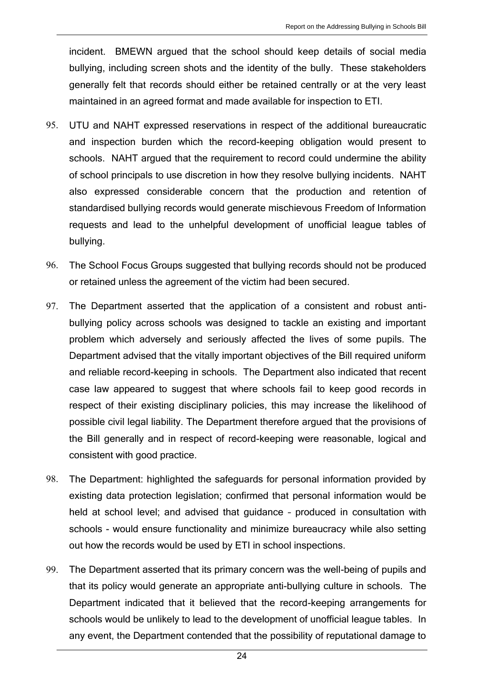incident. BMEWN argued that the school should keep details of social media bullying, including screen shots and the identity of the bully. These stakeholders generally felt that records should either be retained centrally or at the very least maintained in an agreed format and made available for inspection to ETI.

- 95. UTU and NAHT expressed reservations in respect of the additional bureaucratic and inspection burden which the record-keeping obligation would present to schools. NAHT argued that the requirement to record could undermine the ability of school principals to use discretion in how they resolve bullying incidents. NAHT also expressed considerable concern that the production and retention of standardised bullying records would generate mischievous Freedom of Information requests and lead to the unhelpful development of unofficial league tables of bullying.
- 96. The School Focus Groups suggested that bullying records should not be produced or retained unless the agreement of the victim had been secured.
- 97. The Department asserted that the application of a consistent and robust antibullying policy across schools was designed to tackle an existing and important problem which adversely and seriously affected the lives of some pupils. The Department advised that the vitally important objectives of the Bill required uniform and reliable record-keeping in schools. The Department also indicated that recent case law appeared to suggest that where schools fail to keep good records in respect of their existing disciplinary policies, this may increase the likelihood of possible civil legal liability. The Department therefore argued that the provisions of the Bill generally and in respect of record-keeping were reasonable, logical and consistent with good practice.
- 98. The Department: highlighted the safeguards for personal information provided by existing data protection legislation; confirmed that personal information would be held at school level; and advised that guidance – produced in consultation with schools - would ensure functionality and minimize bureaucracy while also setting out how the records would be used by ETI in school inspections.
- 99. The Department asserted that its primary concern was the well-being of pupils and that its policy would generate an appropriate anti-bullying culture in schools. The Department indicated that it believed that the record-keeping arrangements for schools would be unlikely to lead to the development of unofficial league tables. In any event, the Department contended that the possibility of reputational damage to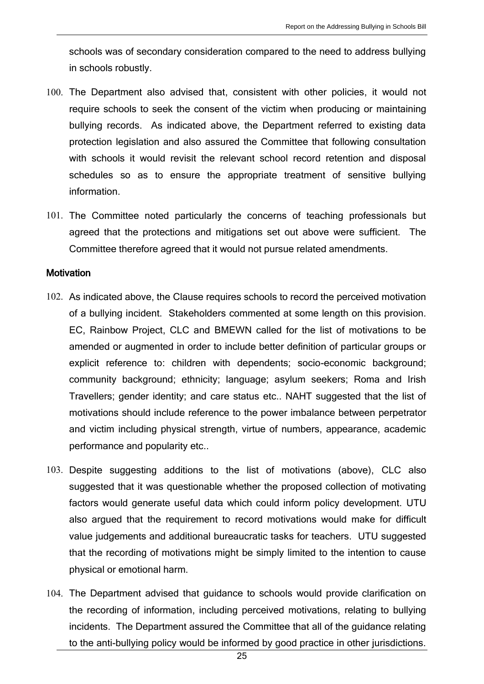schools was of secondary consideration compared to the need to address bullying in schools robustly.

- 100. The Department also advised that, consistent with other policies, it would not require schools to seek the consent of the victim when producing or maintaining bullying records. As indicated above, the Department referred to existing data protection legislation and also assured the Committee that following consultation with schools it would revisit the relevant school record retention and disposal schedules so as to ensure the appropriate treatment of sensitive bullying information.
- 101. The Committee noted particularly the concerns of teaching professionals but agreed that the protections and mitigations set out above were sufficient. The Committee therefore agreed that it would not pursue related amendments.

#### **Motivation**

- 102. As indicated above, the Clause requires schools to record the perceived motivation of a bullying incident. Stakeholders commented at some length on this provision. EC, Rainbow Project, CLC and BMEWN called for the list of motivations to be amended or augmented in order to include better definition of particular groups or explicit reference to: children with dependents; socio-economic background; community background; ethnicity; language; asylum seekers; Roma and Irish Travellers; gender identity; and care status etc.. NAHT suggested that the list of motivations should include reference to the power imbalance between perpetrator and victim including physical strength, virtue of numbers, appearance, academic performance and popularity etc..
- 103. Despite suggesting additions to the list of motivations (above), CLC also suggested that it was questionable whether the proposed collection of motivating factors would generate useful data which could inform policy development. UTU also argued that the requirement to record motivations would make for difficult value judgements and additional bureaucratic tasks for teachers. UTU suggested that the recording of motivations might be simply limited to the intention to cause physical or emotional harm.
- 104. The Department advised that guidance to schools would provide clarification on the recording of information, including perceived motivations, relating to bullying incidents. The Department assured the Committee that all of the guidance relating to the anti-bullying policy would be informed by good practice in other jurisdictions.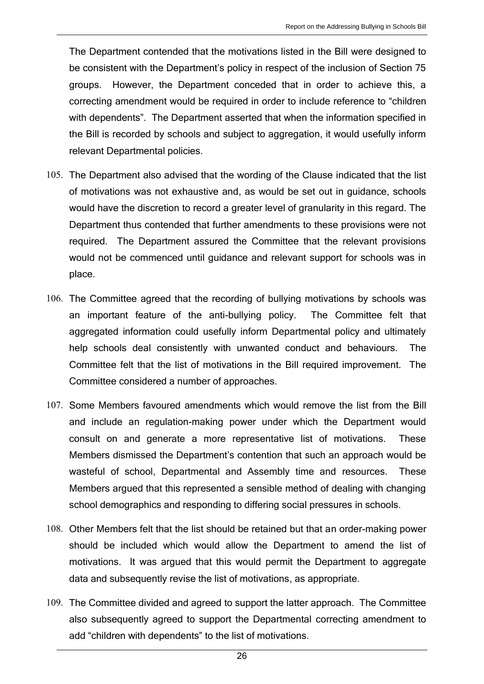The Department contended that the motivations listed in the Bill were designed to be consistent with the Department's policy in respect of the inclusion of Section 75 groups. However, the Department conceded that in order to achieve this, a correcting amendment would be required in order to include reference to "children with dependents". The Department asserted that when the information specified in the Bill is recorded by schools and subject to aggregation, it would usefully inform relevant Departmental policies.

- 105. The Department also advised that the wording of the Clause indicated that the list of motivations was not exhaustive and, as would be set out in guidance, schools would have the discretion to record a greater level of granularity in this regard. The Department thus contended that further amendments to these provisions were not required. The Department assured the Committee that the relevant provisions would not be commenced until guidance and relevant support for schools was in place.
- 106. The Committee agreed that the recording of bullying motivations by schools was an important feature of the anti-bullying policy. The Committee felt that aggregated information could usefully inform Departmental policy and ultimately help schools deal consistently with unwanted conduct and behaviours. The Committee felt that the list of motivations in the Bill required improvement. The Committee considered a number of approaches.
- 107. Some Members favoured amendments which would remove the list from the Bill and include an regulation-making power under which the Department would consult on and generate a more representative list of motivations. These Members dismissed the Department's contention that such an approach would be wasteful of school, Departmental and Assembly time and resources. These Members argued that this represented a sensible method of dealing with changing school demographics and responding to differing social pressures in schools.
- 108. Other Members felt that the list should be retained but that an order-making power should be included which would allow the Department to amend the list of motivations. It was argued that this would permit the Department to aggregate data and subsequently revise the list of motivations, as appropriate.
- 109. The Committee divided and agreed to support the latter approach. The Committee also subsequently agreed to support the Departmental correcting amendment to add "children with dependents" to the list of motivations.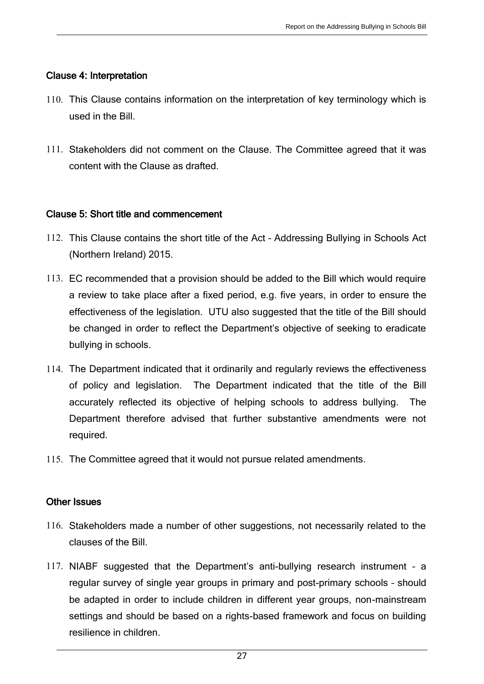## Clause 4: Interpretation

- 110. This Clause contains information on the interpretation of key terminology which is used in the Bill.
- 111. Stakeholders did not comment on the Clause. The Committee agreed that it was content with the Clause as drafted.

## Clause 5: Short title and commencement

- 112. This Clause contains the short title of the Act Addressing Bullying in Schools Act (Northern Ireland) 2015.
- 113. EC recommended that a provision should be added to the Bill which would require a review to take place after a fixed period, e.g. five years, in order to ensure the effectiveness of the legislation. UTU also suggested that the title of the Bill should be changed in order to reflect the Department's objective of seeking to eradicate bullying in schools.
- 114. The Department indicated that it ordinarily and regularly reviews the effectiveness of policy and legislation. The Department indicated that the title of the Bill accurately reflected its objective of helping schools to address bullying. The Department therefore advised that further substantive amendments were not required.
- 115. The Committee agreed that it would not pursue related amendments.

## Other Issues

- 116. Stakeholders made a number of other suggestions, not necessarily related to the clauses of the Bill.
- 117. NIABF suggested that the Department's anti-bullying research instrument a regular survey of single year groups in primary and post-primary schools – should be adapted in order to include children in different year groups, non-mainstream settings and should be based on a rights-based framework and focus on building resilience in children.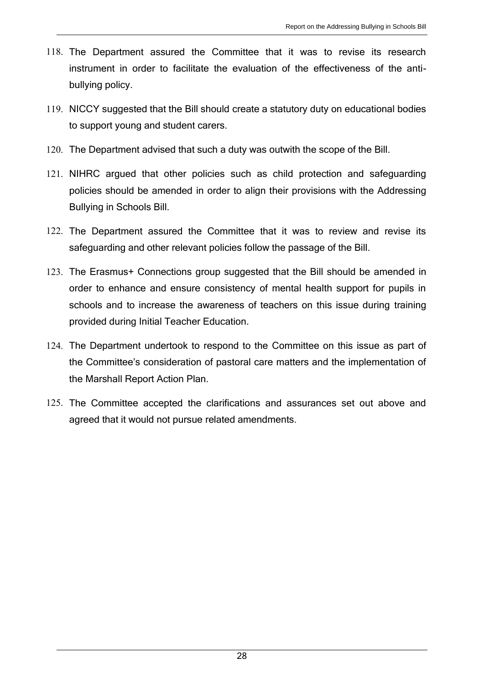- 118. The Department assured the Committee that it was to revise its research instrument in order to facilitate the evaluation of the effectiveness of the antibullying policy.
- 119. NICCY suggested that the Bill should create a statutory duty on educational bodies to support young and student carers.
- 120. The Department advised that such a duty was outwith the scope of the Bill.
- 121. NIHRC argued that other policies such as child protection and safeguarding policies should be amended in order to align their provisions with the Addressing Bullying in Schools Bill.
- 122. The Department assured the Committee that it was to review and revise its safeguarding and other relevant policies follow the passage of the Bill.
- 123. The Erasmus+ Connections group suggested that the Bill should be amended in order to enhance and ensure consistency of mental health support for pupils in schools and to increase the awareness of teachers on this issue during training provided during Initial Teacher Education.
- 124. The Department undertook to respond to the Committee on this issue as part of the Committee's consideration of pastoral care matters and the implementation of the Marshall Report Action Plan.
- 125. The Committee accepted the clarifications and assurances set out above and agreed that it would not pursue related amendments.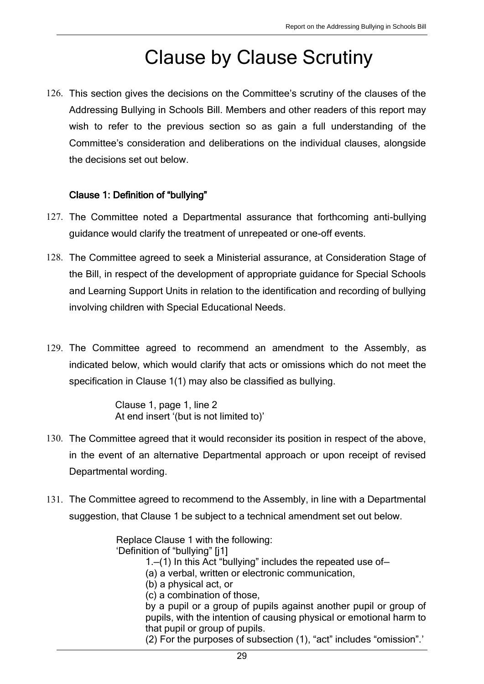# Clause by Clause Scrutiny

126. This section gives the decisions on the Committee's scrutiny of the clauses of the Addressing Bullying in Schools Bill. Members and other readers of this report may wish to refer to the previous section so as gain a full understanding of the Committee's consideration and deliberations on the individual clauses, alongside the decisions set out below.

## Clause 1: Definition of "bullying"

- 127. The Committee noted a Departmental assurance that forthcoming anti-bullying guidance would clarify the treatment of unrepeated or one-off events.
- 128. The Committee agreed to seek a Ministerial assurance, at Consideration Stage of the Bill, in respect of the development of appropriate guidance for Special Schools and Learning Support Units in relation to the identification and recording of bullying involving children with Special Educational Needs.
- 129. The Committee agreed to recommend an amendment to the Assembly, as indicated below, which would clarify that acts or omissions which do not meet the specification in Clause 1(1) may also be classified as bullying.

Clause 1, page 1, line 2 At end insert '(but is not limited to)'

- 130. The Committee agreed that it would reconsider its position in respect of the above, in the event of an alternative Departmental approach or upon receipt of revised Departmental wording.
- 131. The Committee agreed to recommend to the Assembly, in line with a Departmental suggestion, that Clause 1 be subject to a technical amendment set out below.

Replace Clause 1 with the following:

'Definition of "bullying" [j1]

- 1.—(1) In this Act "bullying" includes the repeated use of—
- (a) a verbal, written or electronic communication,

(b) a physical act, or

(c) a combination of those,

by a pupil or a group of pupils against another pupil or group of pupils, with the intention of causing physical or emotional harm to that pupil or group of pupils.

(2) For the purposes of subsection (1), "act" includes "omission".'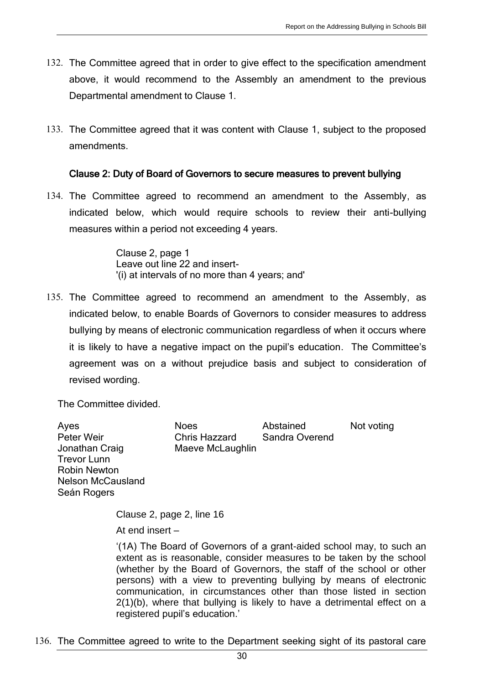- 132. The Committee agreed that in order to give effect to the specification amendment above, it would recommend to the Assembly an amendment to the previous Departmental amendment to Clause 1.
- 133. The Committee agreed that it was content with Clause 1, subject to the proposed amendments.

#### Clause 2: Duty of Board of Governors to secure measures to prevent bullying

134. The Committee agreed to recommend an amendment to the Assembly, as indicated below, which would require schools to review their anti-bullying measures within a period not exceeding 4 years.

> Clause 2, page 1 Leave out line 22 and insert- '(i) at intervals of no more than 4 years; and'

135. The Committee agreed to recommend an amendment to the Assembly, as indicated below, to enable Boards of Governors to consider measures to address bullying by means of electronic communication regardless of when it occurs where it is likely to have a negative impact on the pupil's education. The Committee's agreement was on a without prejudice basis and subject to consideration of revised wording.

The Committee divided.

Ayes **Noes** Abstained Not voting Peter Weir Chris Hazzard Sandra Overend Jonathan Craig Maeve McLaughlin Trevor Lunn Robin Newton Nelson McCausland Seán Rogers

> Clause 2, page 2, line 16 At end insert –

'(1A) The Board of Governors of a grant-aided school may, to such an extent as is reasonable, consider measures to be taken by the school (whether by the Board of Governors, the staff of the school or other persons) with a view to preventing bullying by means of electronic communication, in circumstances other than those listed in section 2(1)(b), where that bullying is likely to have a detrimental effect on a registered pupil's education.'

136. The Committee agreed to write to the Department seeking sight of its pastoral care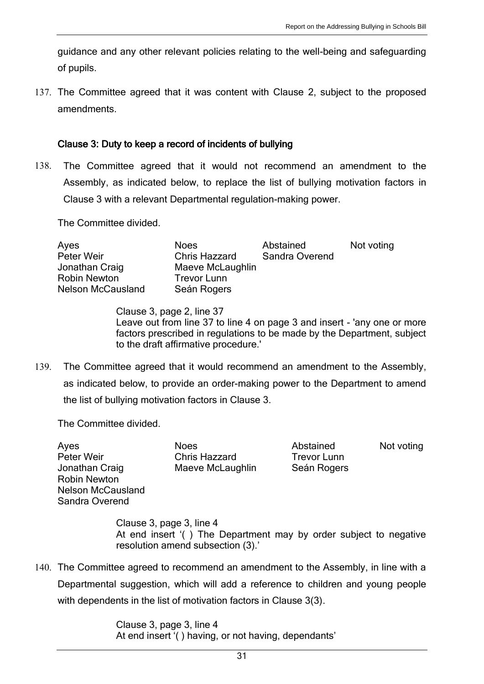guidance and any other relevant policies relating to the well-being and safeguarding of pupils.

137. The Committee agreed that it was content with Clause 2, subject to the proposed amendments.

#### Clause 3: Duty to keep a record of incidents of bullying

138. The Committee agreed that it would not recommend an amendment to the Assembly, as indicated below, to replace the list of bullying motivation factors in Clause 3 with a relevant Departmental regulation-making power.

The Committee divided.

| Ayes                     | <b>Noes</b>          | Abstained      | Not voting |
|--------------------------|----------------------|----------------|------------|
| Peter Weir               | <b>Chris Hazzard</b> | Sandra Overend |            |
| Jonathan Craig           | Maeve McLaughlin     |                |            |
| <b>Robin Newton</b>      | Trevor Lunn          |                |            |
| <b>Nelson McCausland</b> | Seán Rogers          |                |            |

Clause 3, page 2, line 37 Leave out from line 37 to line 4 on page 3 and insert - 'any one or more factors prescribed in regulations to be made by the Department, subject to the draft affirmative procedure.'

139. The Committee agreed that it would recommend an amendment to the Assembly, as indicated below, to provide an order-making power to the Department to amend the list of bullying motivation factors in Clause 3.

The Committee divided.

Ayes Noes Noes Abstained Not voting Peter Weir Chris Hazzard Trevor Lunn Jonathan Craig **Maeve McLaughlin** Seán Rogers Robin Newton Nelson McCausland Sandra Overend

Clause 3, page 3, line 4 At end insert '( ) The Department may by order subject to negative resolution amend subsection (3).'

140. The Committee agreed to recommend an amendment to the Assembly, in line with a Departmental suggestion, which will add a reference to children and young people with dependents in the list of motivation factors in Clause 3(3).

> Clause 3, page 3, line 4 At end insert '( ) having, or not having, dependants'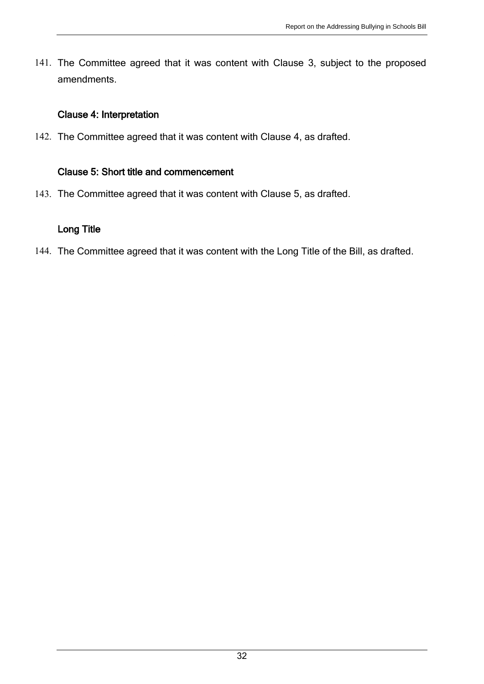141. The Committee agreed that it was content with Clause 3, subject to the proposed amendments.

## Clause 4: Interpretation

142. The Committee agreed that it was content with Clause 4, as drafted.

## Clause 5: Short title and commencement

143. The Committee agreed that it was content with Clause 5, as drafted.

## Long Title

144. The Committee agreed that it was content with the Long Title of the Bill, as drafted.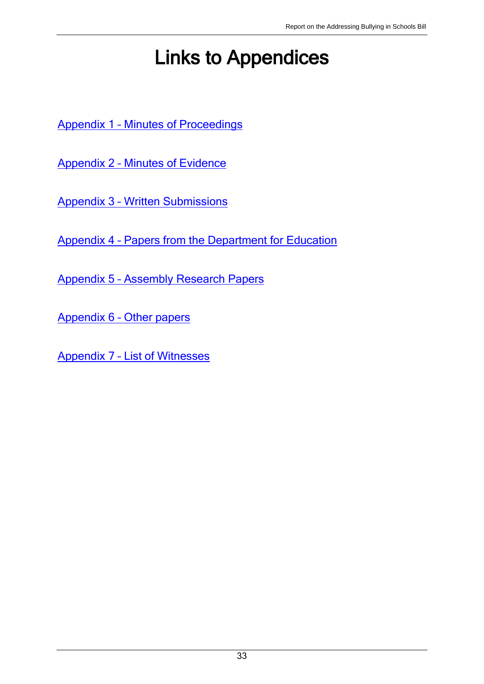# Links to Appendices

Appendix 1 – [Minutes of Proceedings](http://www.niassembly.gov.uk/assembly-business/committees/education/legislation---committee-stage-of-bills/addressing-bullying-in-schools-bill/minutes-of-proceedings/)

Appendix 2 – [Minutes of Evidence](http://www.niassembly.gov.uk/assembly-business/committees/education/legislation---committee-stage-of-bills/addressing-bullying-in-schools-bill/minutes-of-evidence/)

Appendix 3 – [Written Submissions](http://www.niassembly.gov.uk/assembly-business/committees/education/legislation---committee-stage-of-bills/addressing-bullying-in-schools-bill/written-submissions/)

Appendix 4 – [Papers from the Department for Education](http://www.niassembly.gov.uk/assembly-business/committees/education/legislation---committee-stage-of-bills/addressing-bullying-in-schools-bill/departmental-papers/)

Appendix 5 – [Assembly Research Papers](http://www.niassembly.gov.uk/assembly-business/committees/education/legislation---committee-stage-of-bills/addressing-bullying-in-schools-bill/assembly-research-papers/)

Appendix 6 – [Other papers](http://www.niassembly.gov.uk/assembly-business/committees/education/legislation---committee-stage-of-bills/addressing-bullying-in-schools-bill/other-related-papers/)

Appendix 7 – [List of Witnesses](http://www.niassembly.gov.uk/assembly-business/committees/education/legislation---committee-stage-of-bills/addressing-bullying-in-schools-bill/list-of-witnesses/)